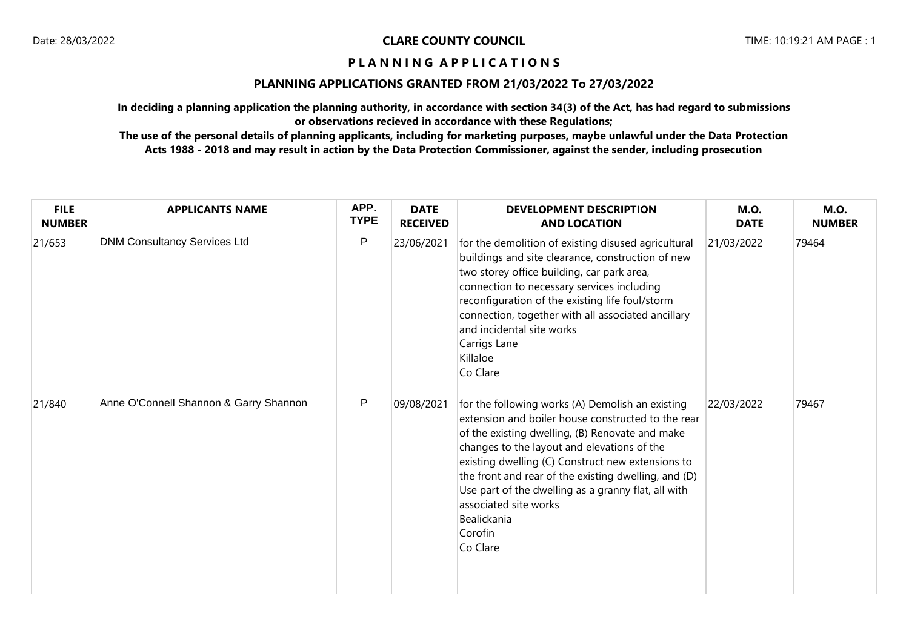## **PLANNING APPLICATIONS GRANTED FROM 21/03/2022 To 27/03/2022**

**In deciding a planning application the planning authority, in accordance with section 34(3) of the Act, has had regard to submissions or observations recieved in accordance with these Regulations;**

| <b>FILE</b><br><b>NUMBER</b> | <b>APPLICANTS NAME</b>                 | APP.<br><b>TYPE</b> | <b>DATE</b><br><b>RECEIVED</b> | <b>DEVELOPMENT DESCRIPTION</b><br><b>AND LOCATION</b>                                                                                                                                                                                                                                                                                                                                                                                       | <b>M.O.</b><br><b>DATE</b> | <b>M.O.</b><br><b>NUMBER</b> |
|------------------------------|----------------------------------------|---------------------|--------------------------------|---------------------------------------------------------------------------------------------------------------------------------------------------------------------------------------------------------------------------------------------------------------------------------------------------------------------------------------------------------------------------------------------------------------------------------------------|----------------------------|------------------------------|
| 21/653                       | <b>DNM Consultancy Services Ltd</b>    | P                   | 23/06/2021                     | for the demolition of existing disused agricultural<br>buildings and site clearance, construction of new<br>two storey office building, car park area,<br>connection to necessary services including<br>reconfiguration of the existing life foul/storm<br>connection, together with all associated ancillary<br>and incidental site works<br>Carrigs Lane<br>Killaloe<br>Co Clare                                                          | 21/03/2022                 | 79464                        |
| 21/840                       | Anne O'Connell Shannon & Garry Shannon | P                   | 09/08/2021                     | for the following works (A) Demolish an existing<br>extension and boiler house constructed to the rear<br>of the existing dwelling, (B) Renovate and make<br>changes to the layout and elevations of the<br>existing dwelling (C) Construct new extensions to<br>the front and rear of the existing dwelling, and (D)<br>Use part of the dwelling as a granny flat, all with<br>associated site works<br>Bealickania<br>Corofin<br>Co Clare | 22/03/2022                 | 79467                        |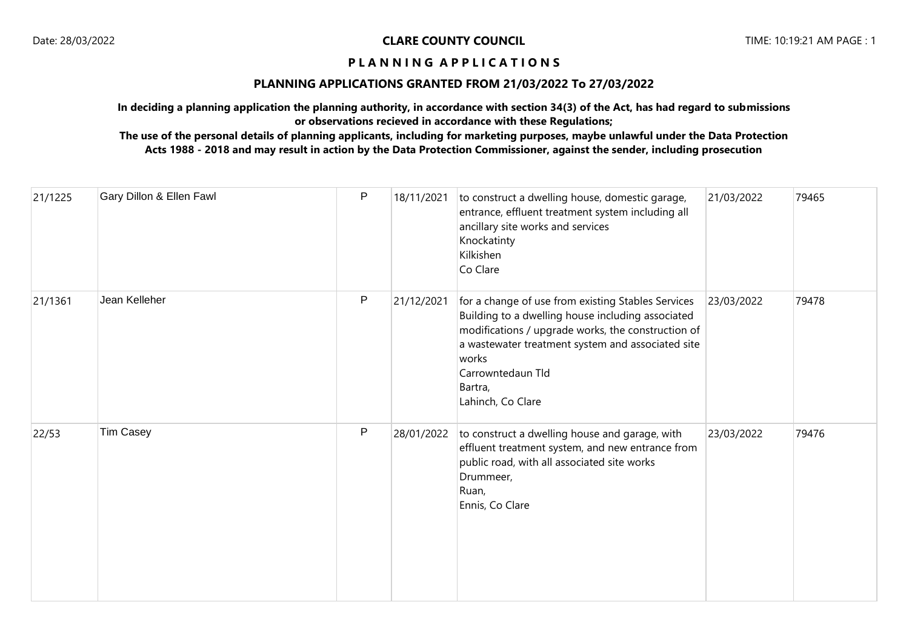# **PLANNING APPLICATIONS GRANTED FROM 21/03/2022 To 27/03/2022**

**In deciding a planning application the planning authority, in accordance with section 34(3) of the Act, has had regard to submissions or observations recieved in accordance with these Regulations;**

| 21/1225 | Gary Dillon & Ellen Fawl | P | 18/11/2021 | to construct a dwelling house, domestic garage,<br>entrance, effluent treatment system including all<br>ancillary site works and services<br>Knockatinty<br>Kilkishen<br>Co Clare                                                                                                | 21/03/2022 | 79465 |
|---------|--------------------------|---|------------|----------------------------------------------------------------------------------------------------------------------------------------------------------------------------------------------------------------------------------------------------------------------------------|------------|-------|
| 21/1361 | Jean Kelleher            | P | 21/12/2021 | for a change of use from existing Stables Services<br>Building to a dwelling house including associated<br>modifications / upgrade works, the construction of<br>a wastewater treatment system and associated site<br>works<br>Carrowntedaun Tld<br>Bartra,<br>Lahinch, Co Clare | 23/03/2022 | 79478 |
| 22/53   | Tim Casey                | P | 28/01/2022 | to construct a dwelling house and garage, with<br>effluent treatment system, and new entrance from<br>public road, with all associated site works<br>Drummeer,<br>Ruan,<br>Ennis, Co Clare                                                                                       | 23/03/2022 | 79476 |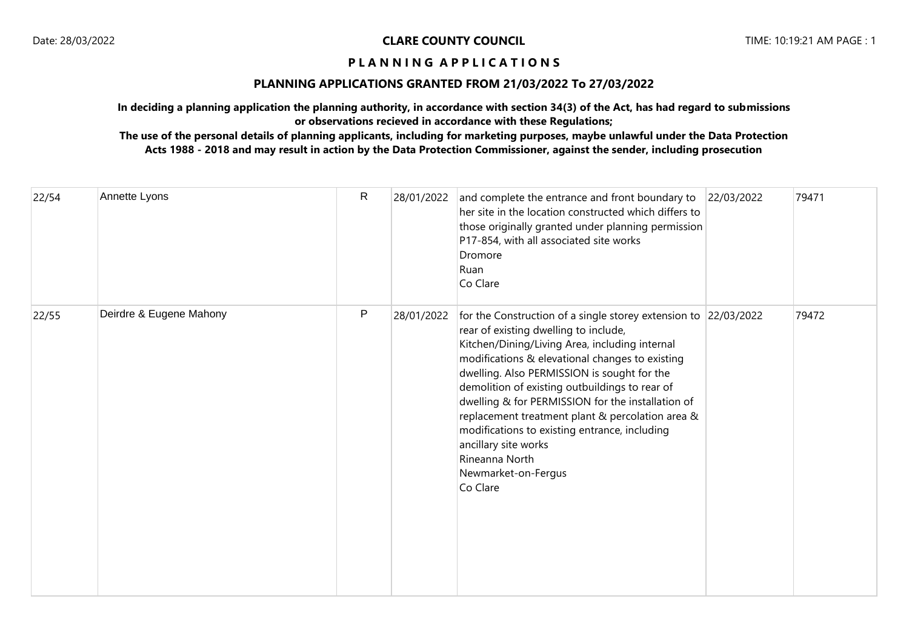# **PLANNING APPLICATIONS GRANTED FROM 21/03/2022 To 27/03/2022**

**In deciding a planning application the planning authority, in accordance with section 34(3) of the Act, has had regard to submissions or observations recieved in accordance with these Regulations;**

| 22/54 | Annette Lyons           | $\mathsf{R}$ | 28/01/2022 | and complete the entrance and front boundary to<br>her site in the location constructed which differs to<br>those originally granted under planning permission<br>P17-854, with all associated site works<br>Dromore<br>Ruan<br>Co Clare                                                                                                                                                                                                                                                                                                              | 22/03/2022 | 79471 |
|-------|-------------------------|--------------|------------|-------------------------------------------------------------------------------------------------------------------------------------------------------------------------------------------------------------------------------------------------------------------------------------------------------------------------------------------------------------------------------------------------------------------------------------------------------------------------------------------------------------------------------------------------------|------------|-------|
| 22/55 | Deirdre & Eugene Mahony | P            | 28/01/2022 | for the Construction of a single storey extension to 22/03/2022<br>rear of existing dwelling to include,<br>Kitchen/Dining/Living Area, including internal<br>modifications & elevational changes to existing<br>dwelling. Also PERMISSION is sought for the<br>demolition of existing outbuildings to rear of<br>dwelling & for PERMISSION for the installation of<br>replacement treatment plant & percolation area &<br>modifications to existing entrance, including<br>ancillary site works<br>Rineanna North<br>Newmarket-on-Fergus<br>Co Clare |            | 79472 |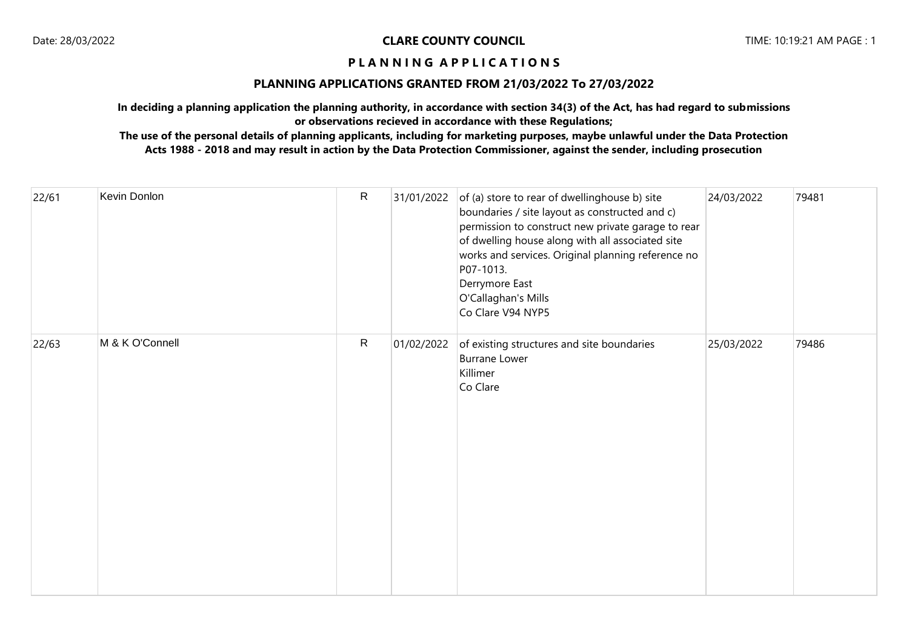### **PLANNING APPLICATIONS GRANTED FROM 21/03/2022 To 27/03/2022**

**In deciding a planning application the planning authority, in accordance with section 34(3) of the Act, has had regard to submissions or observations recieved in accordance with these Regulations;**

| 22/61 | Kevin Donlon    | $\mathsf{R}$ | 31/01/2022 | of (a) store to rear of dwellinghouse b) site<br>boundaries / site layout as constructed and c)<br>permission to construct new private garage to rear<br>of dwelling house along with all associated site<br>works and services. Original planning reference no<br>P07-1013.<br>Derrymore East<br>O'Callaghan's Mills<br>Co Clare V94 NYP5 | 24/03/2022 | 79481 |
|-------|-----------------|--------------|------------|--------------------------------------------------------------------------------------------------------------------------------------------------------------------------------------------------------------------------------------------------------------------------------------------------------------------------------------------|------------|-------|
| 22/63 | M & K O'Connell | $\mathsf{R}$ | 01/02/2022 | of existing structures and site boundaries<br><b>Burrane Lower</b><br>Killimer<br>Co Clare                                                                                                                                                                                                                                                 | 25/03/2022 | 79486 |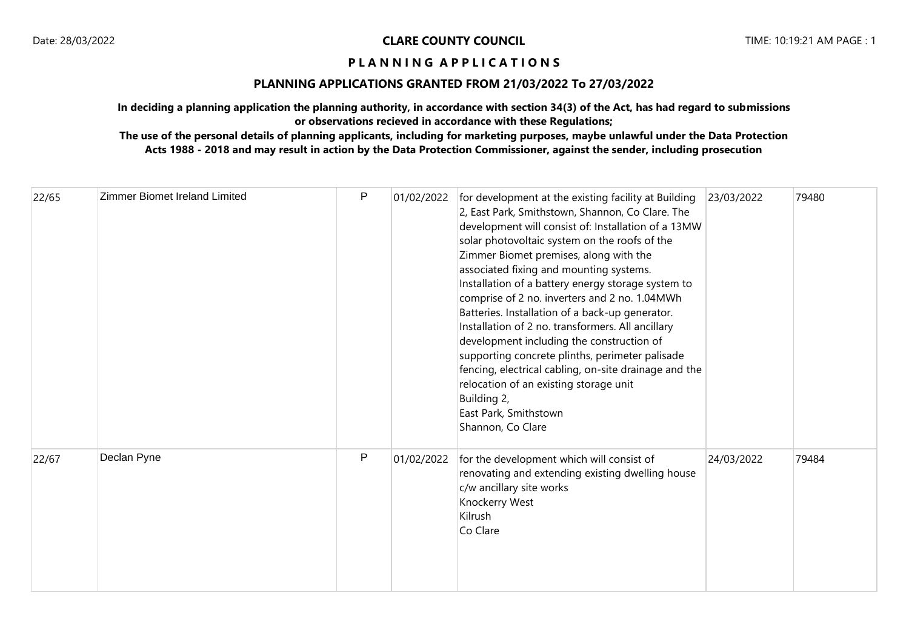# **PLANNING APPLICATIONS GRANTED FROM 21/03/2022 To 27/03/2022**

**In deciding a planning application the planning authority, in accordance with section 34(3) of the Act, has had regard to submissions or observations recieved in accordance with these Regulations;**

| 22/65 | Zimmer Biomet Ireland Limited | P | 01/02/2022 | for development at the existing facility at Building<br>2, East Park, Smithstown, Shannon, Co Clare. The<br>development will consist of: Installation of a 13MW<br>solar photovoltaic system on the roofs of the<br>Zimmer Biomet premises, along with the<br>associated fixing and mounting systems.<br>Installation of a battery energy storage system to<br>comprise of 2 no. inverters and 2 no. 1.04MWh<br>Batteries. Installation of a back-up generator.<br>Installation of 2 no. transformers. All ancillary<br>development including the construction of<br>supporting concrete plinths, perimeter palisade<br>fencing, electrical cabling, on-site drainage and the<br>relocation of an existing storage unit<br>Building 2,<br>East Park, Smithstown<br>Shannon, Co Clare | 23/03/2022 | 79480 |
|-------|-------------------------------|---|------------|--------------------------------------------------------------------------------------------------------------------------------------------------------------------------------------------------------------------------------------------------------------------------------------------------------------------------------------------------------------------------------------------------------------------------------------------------------------------------------------------------------------------------------------------------------------------------------------------------------------------------------------------------------------------------------------------------------------------------------------------------------------------------------------|------------|-------|
| 22/67 | Declan Pyne                   | P | 01/02/2022 | for the development which will consist of<br>renovating and extending existing dwelling house<br>c/w ancillary site works<br>Knockerry West<br>Kilrush<br>Co Clare                                                                                                                                                                                                                                                                                                                                                                                                                                                                                                                                                                                                                   | 24/03/2022 | 79484 |